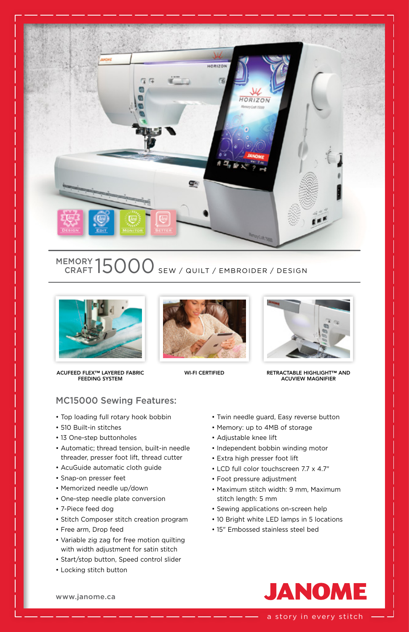

## MEMORY  $15000$  sew / quilt / embroider / design



ACUFEED FLEX™ LAYERED FABRIC FEEDING SYSTEM





WI-FI CERTIFIED RETRACTABLE HIGHLIGHT™ AND ACUVIEW MAGNIFIER

## MC15000 Sewing Features:

- Top loading full rotary hook bobbin
- 510 Built-in stitches
- 13 One-step buttonholes
- Automatic; thread tension, built-in needle threader, presser foot lift, thread cutter
- AcuGuide automatic cloth guide
- Snap-on presser feet
- Memorized needle up/down
- One-step needle plate conversion
- 7-Piece feed dog
- Stitch Composer stitch creation program
- Free arm, Drop feed
- Variable zig zag for free motion quilting with width adjustment for satin stitch
- Start/stop button, Speed control slider
- Locking stitch button
- Twin needle guard, Easy reverse button
- Memory: up to 4MB of storage
- Adjustable knee lift
- Independent bobbin winding motor
- Extra high presser foot lift
- LCD full color touchscreen 7.7 x 4.7"
- Foot pressure adjustment
- Maximum stitch width: 9 mm, Maximum stitch length: 5 mm
- Sewing applications on-screen help
- 10 Bright white LED lamps in 5 locations
- 15" Embossed stainless steel bed



a story in every stitch

www.janome.ca